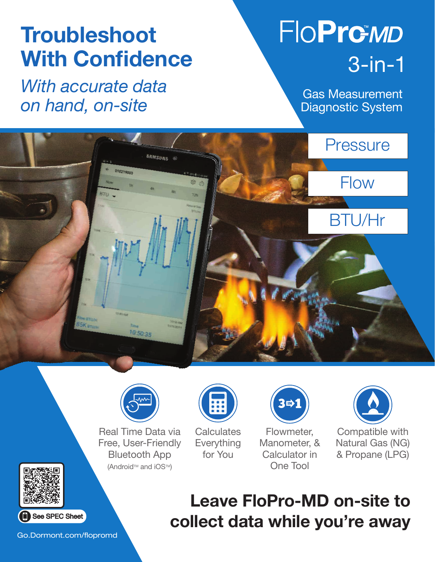# **Troubleshoot** With Confidence

*With accurate data on hand, on-site*

# **FIOPrGMD** 3-in-1

Gas Measurement Diagnostic System





Real Time Data via Free, User-Friendly Bluetooth App (Android™ and iOS™)



**Calculates** Everything for You

3吋1

Flowmeter, Manometer, & Calculator in One Tool



Compatible with Natural Gas (NG) & Propane (LPG)



Go.Dormont.com/flopromd

## Leave FloPro-MD on-site to collect data while you're away